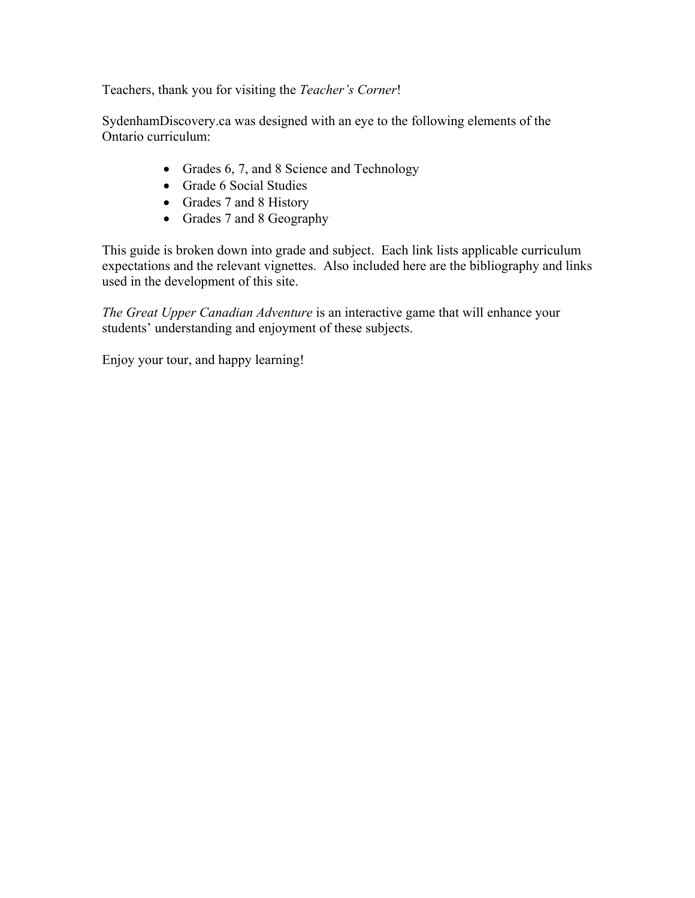Teachers, thank you for visiting the *Teacher's Corner*!

SydenhamDiscovery.ca was designed with an eye to the following elements of the Ontario curriculum:

- Grades 6, 7, and 8 Science and Technology
- Grade 6 Social Studies
- Grades 7 and 8 History
- Grades 7 and 8 Geography

This guide is broken down into grade and subject. Each link lists applicable curriculum expectations and the relevant vignettes. Also included here are the bibliography and links used in the development of this site.

*The Great Upper Canadian Adventure* is an interactive game that will enhance your students' understanding and enjoyment of these subjects.

Enjoy your tour, and happy learning!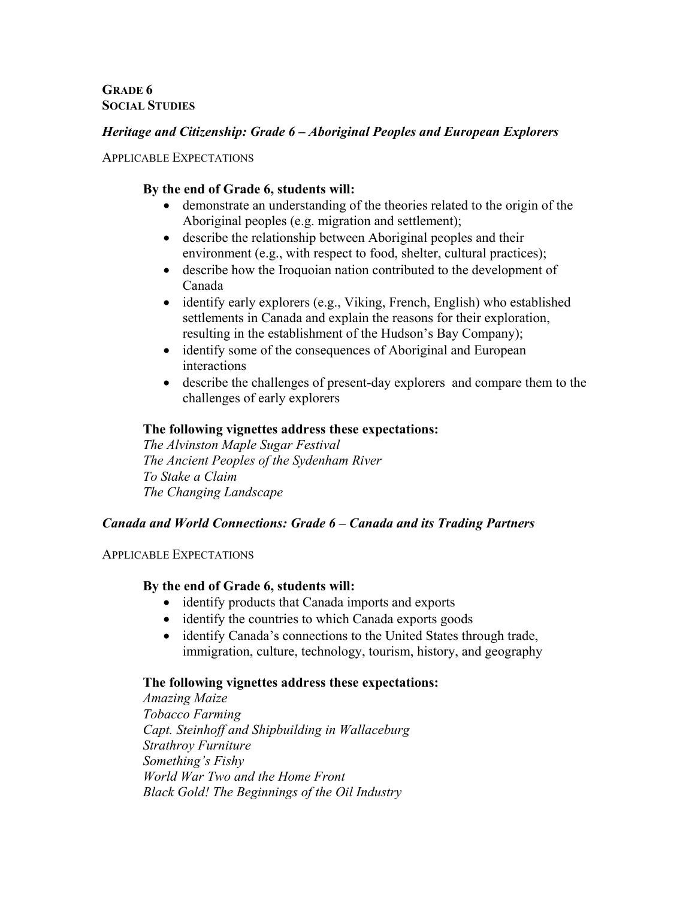**GRADE 6 SOCIAL STUDIES**

# *Heritage and Citizenship: Grade 6 – Aboriginal Peoples and European Explorers*

#### APPLICABLE EXPECTATIONS

# **By the end of Grade 6, students will:**

- demonstrate an understanding of the theories related to the origin of the Aboriginal peoples (e.g. migration and settlement);
- describe the relationship between Aboriginal peoples and their environment (e.g., with respect to food, shelter, cultural practices);
- describe how the Iroquoian nation contributed to the development of Canada
- identify early explorers (e.g., Viking, French, English) who established settlements in Canada and explain the reasons for their exploration, resulting in the establishment of the Hudson's Bay Company);
- identify some of the consequences of Aboriginal and European interactions
- describe the challenges of present-day explorers and compare them to the challenges of early explorers

## **The following vignettes address these expectations:**

 *The Alvinston Maple Sugar Festival The Ancient Peoples of the Sydenham River To Stake a Claim The Changing Landscape* 

## *Canada and World Connections: Grade 6 – Canada and its Trading Partners*

#### APPLICABLE EXPECTATIONS

## **By the end of Grade 6, students will:**

- identify products that Canada imports and exports
- identify the countries to which Canada exports goods
- identify Canada's connections to the United States through trade, immigration, culture, technology, tourism, history, and geography

## **The following vignettes address these expectations:**

 *Amazing Maize Tobacco Farming Capt. Steinhoff and Shipbuilding in Wallaceburg Strathroy Furniture Something's Fishy World War Two and the Home Front Black Gold! The Beginnings of the Oil Industry*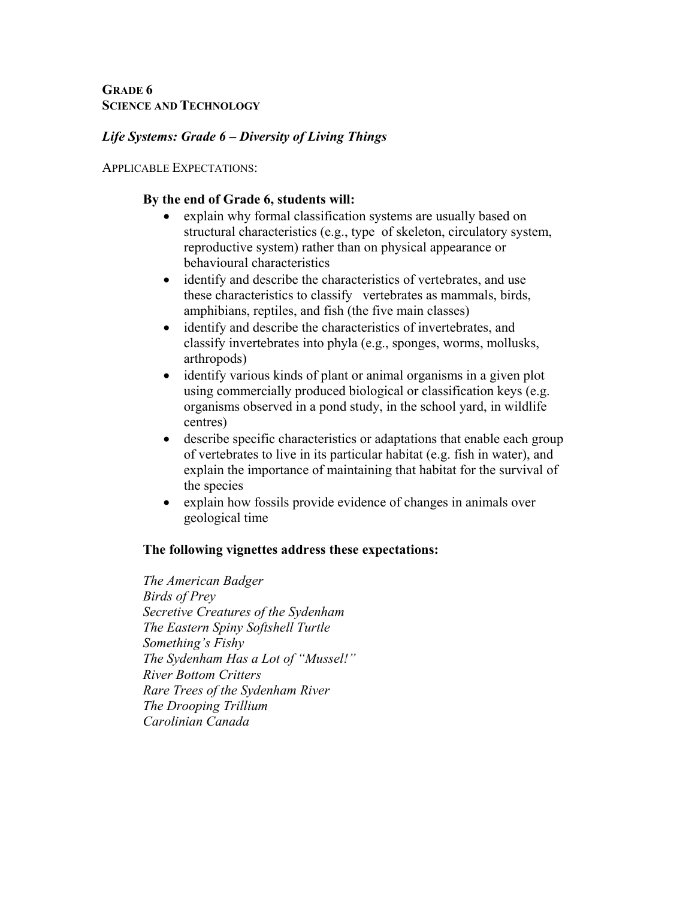# *Life Systems: Grade 6 – Diversity of Living Things*

APPLICABLE EXPECTATIONS:

## **By the end of Grade 6, students will:**

- explain why formal classification systems are usually based on structural characteristics (e.g., type of skeleton, circulatory system, reproductive system) rather than on physical appearance or behavioural characteristics
- identify and describe the characteristics of vertebrates, and use these characteristics to classify vertebrates as mammals, birds, amphibians, reptiles, and fish (the five main classes)
- identify and describe the characteristics of invertebrates, and classify invertebrates into phyla (e.g., sponges, worms, mollusks, arthropods)
- identify various kinds of plant or animal organisms in a given plot using commercially produced biological or classification keys (e.g. organisms observed in a pond study, in the school yard, in wildlife centres)
- describe specific characteristics or adaptations that enable each group of vertebrates to live in its particular habitat (e.g. fish in water), and explain the importance of maintaining that habitat for the survival of the species
- explain how fossils provide evidence of changes in animals over geological time

## **The following vignettes address these expectations:**

 *The American Badger Birds of Prey Secretive Creatures of the Sydenham The Eastern Spiny Softshell Turtle Something's Fishy The Sydenham Has a Lot of "Mussel!" River Bottom Critters Rare Trees of the Sydenham River The Drooping Trillium Carolinian Canada*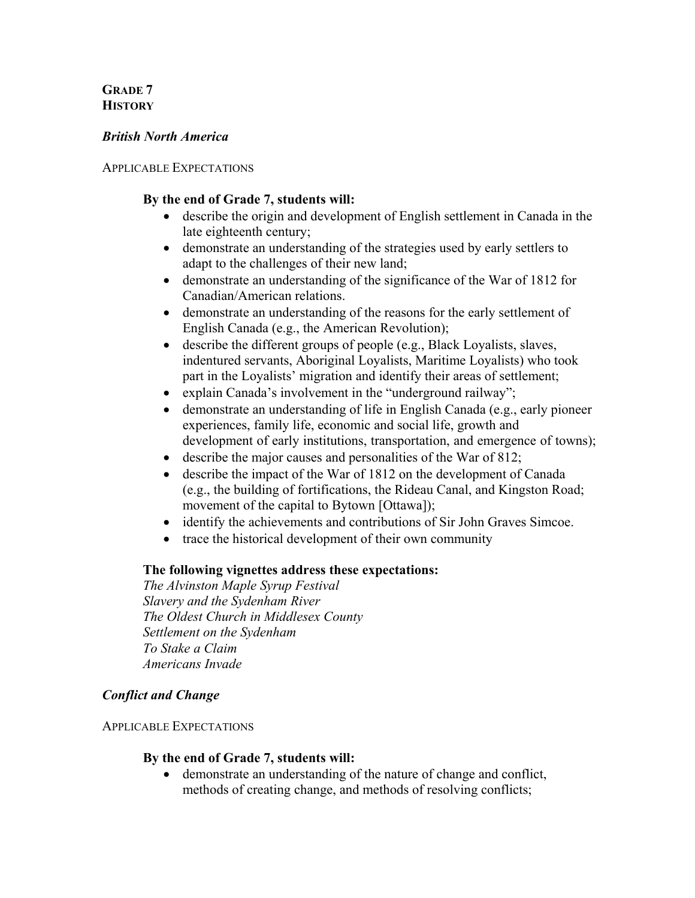# **GRADE 7 HISTORY**

## *British North America*

### APPLICABLE EXPECTATIONS

## **By the end of Grade 7, students will:**

- describe the origin and development of English settlement in Canada in the late eighteenth century;
- demonstrate an understanding of the strategies used by early settlers to adapt to the challenges of their new land;
- demonstrate an understanding of the significance of the War of 1812 for Canadian/American relations.
- demonstrate an understanding of the reasons for the early settlement of English Canada (e.g., the American Revolution);
- describe the different groups of people (e.g., Black Loyalists, slaves, indentured servants, Aboriginal Loyalists, Maritime Loyalists) who took part in the Loyalists' migration and identify their areas of settlement;
- explain Canada's involvement in the "underground railway";
- demonstrate an understanding of life in English Canada (e.g., early pioneer experiences, family life, economic and social life, growth and development of early institutions, transportation, and emergence of towns);
- describe the major causes and personalities of the War of 812;
- describe the impact of the War of 1812 on the development of Canada (e.g., the building of fortifications, the Rideau Canal, and Kingston Road; movement of the capital to Bytown [Ottawa]);
- identify the achievements and contributions of Sir John Graves Simcoe.
- trace the historical development of their own community

## **The following vignettes address these expectations:**

*The Alvinston Maple Syrup Festival Slavery and the Sydenham River The Oldest Church in Middlesex County Settlement on the Sydenham To Stake a Claim Americans Invade* 

# *Conflict and Change*

## APPLICABLE EXPECTATIONS

## **By the end of Grade 7, students will:**

• demonstrate an understanding of the nature of change and conflict, methods of creating change, and methods of resolving conflicts;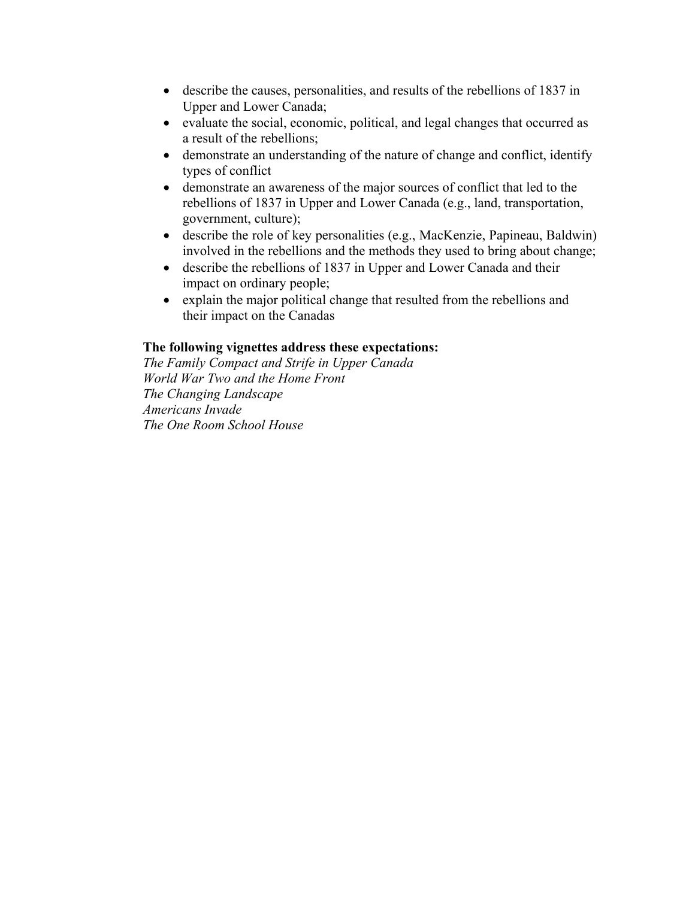- describe the causes, personalities, and results of the rebellions of 1837 in Upper and Lower Canada;
- evaluate the social, economic, political, and legal changes that occurred as a result of the rebellions;
- demonstrate an understanding of the nature of change and conflict, identify types of conflict
- demonstrate an awareness of the major sources of conflict that led to the rebellions of 1837 in Upper and Lower Canada (e.g., land, transportation, government, culture);
- describe the role of key personalities (e.g., MacKenzie, Papineau, Baldwin) involved in the rebellions and the methods they used to bring about change;
- describe the rebellions of 1837 in Upper and Lower Canada and their impact on ordinary people;
- explain the major political change that resulted from the rebellions and their impact on the Canadas

# **The following vignettes address these expectations:**

*The Family Compact and Strife in Upper Canada World War Two and the Home Front The Changing Landscape Americans Invade The One Room School House*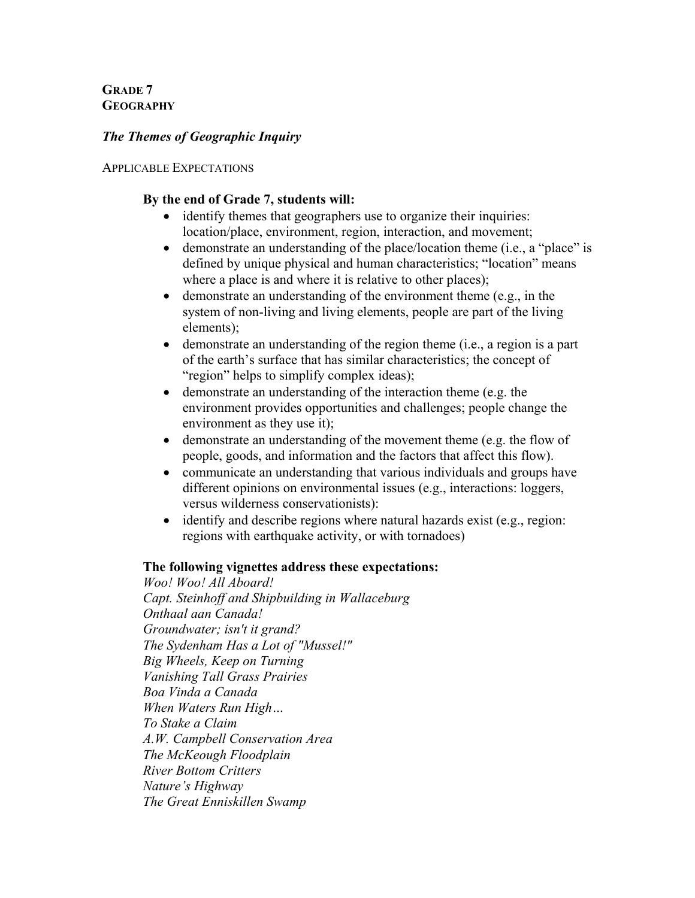**GRADE 7 GEOGRAPHY**

# *The Themes of Geographic Inquiry*

### APPLICABLE EXPECTATIONS

## **By the end of Grade 7, students will:**

- identify themes that geographers use to organize their inquiries: location/place, environment, region, interaction, and movement;
- demonstrate an understanding of the place/location theme (i.e., a "place" is defined by unique physical and human characteristics; "location" means where a place is and where it is relative to other places);
- demonstrate an understanding of the environment theme (e.g., in the system of non-living and living elements, people are part of the living elements);
- demonstrate an understanding of the region theme (i.e., a region is a part of the earth's surface that has similar characteristics; the concept of "region" helps to simplify complex ideas);
- demonstrate an understanding of the interaction theme (e.g. the environment provides opportunities and challenges; people change the environment as they use it);
- demonstrate an understanding of the movement theme (e.g. the flow of people, goods, and information and the factors that affect this flow).
- communicate an understanding that various individuals and groups have different opinions on environmental issues (e.g., interactions: loggers, versus wilderness conservationists):
- identify and describe regions where natural hazards exist (e.g., region: regions with earthquake activity, or with tornadoes)

## **The following vignettes address these expectations:**

*Woo! Woo! All Aboard! Capt. Steinhoff and Shipbuilding in Wallaceburg Onthaal aan Canada! Groundwater; isn't it grand? The Sydenham Has a Lot of "Mussel!" Big Wheels, Keep on Turning Vanishing Tall Grass Prairies Boa Vinda a Canada When Waters Run High… To Stake a Claim A.W. Campbell Conservation Area The McKeough Floodplain River Bottom Critters Nature's Highway The Great Enniskillen Swamp*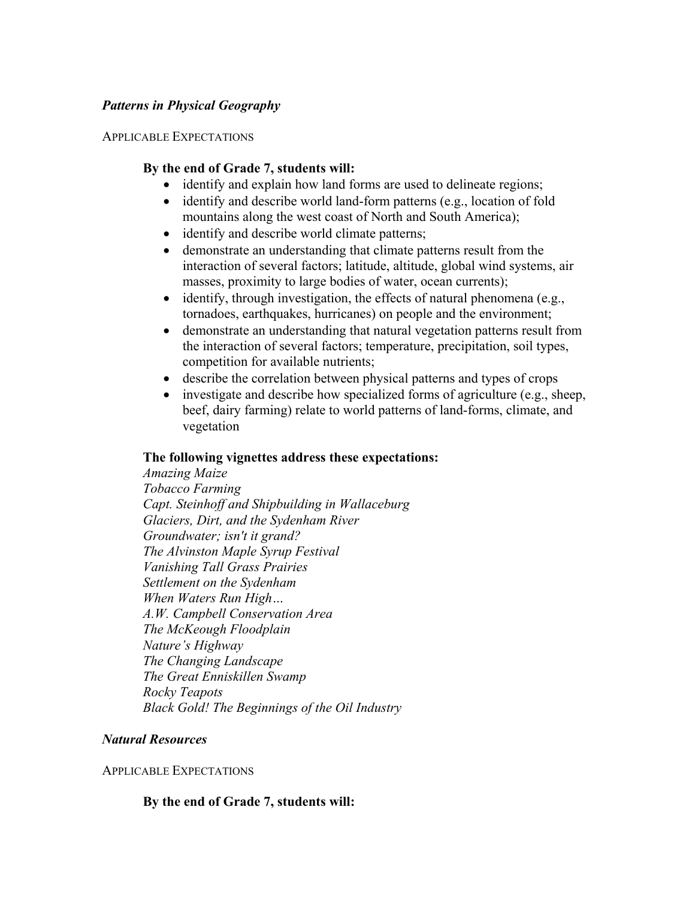## *Patterns in Physical Geography*

#### APPLICABLE EXPECTATIONS

### **By the end of Grade 7, students will:**

- identify and explain how land forms are used to delineate regions;
- identify and describe world land-form patterns (e.g., location of fold mountains along the west coast of North and South America);
- identify and describe world climate patterns;
- demonstrate an understanding that climate patterns result from the interaction of several factors; latitude, altitude, global wind systems, air masses, proximity to large bodies of water, ocean currents);
- identify, through investigation, the effects of natural phenomena (e.g., tornadoes, earthquakes, hurricanes) on people and the environment;
- demonstrate an understanding that natural vegetation patterns result from the interaction of several factors; temperature, precipitation, soil types, competition for available nutrients;
- describe the correlation between physical patterns and types of crops
- investigate and describe how specialized forms of agriculture (e.g., sheep, beef, dairy farming) relate to world patterns of land-forms, climate, and vegetation

#### **The following vignettes address these expectations:**

*Amazing Maize Tobacco Farming Capt. Steinhoff and Shipbuilding in Wallaceburg Glaciers, Dirt, and the Sydenham River Groundwater; isn't it grand? The Alvinston Maple Syrup Festival Vanishing Tall Grass Prairies Settlement on the Sydenham When Waters Run High… A.W. Campbell Conservation Area The McKeough Floodplain Nature's Highway The Changing Landscape The Great Enniskillen Swamp Rocky Teapots Black Gold! The Beginnings of the Oil Industry* 

#### *Natural Resources*

#### APPLICABLE EXPECTATIONS

## **By the end of Grade 7, students will:**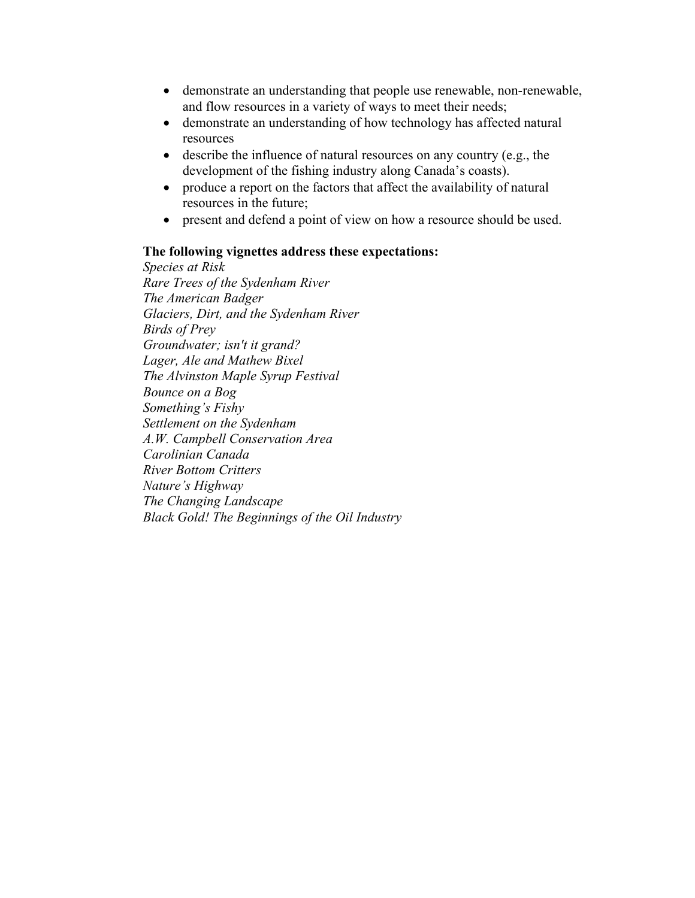- demonstrate an understanding that people use renewable, non-renewable, and flow resources in a variety of ways to meet their needs;
- demonstrate an understanding of how technology has affected natural resources
- describe the influence of natural resources on any country (e.g., the development of the fishing industry along Canada's coasts).
- produce a report on the factors that affect the availability of natural resources in the future;
- present and defend a point of view on how a resource should be used.

### **The following vignettes address these expectations:**

*Species at Risk Rare Trees of the Sydenham River The American Badger Glaciers, Dirt, and the Sydenham River Birds of Prey Groundwater; isn't it grand? Lager, Ale and Mathew Bixel The Alvinston Maple Syrup Festival Bounce on a Bog Something's Fishy Settlement on the Sydenham A.W. Campbell Conservation Area Carolinian Canada River Bottom Critters Nature's Highway The Changing Landscape Black Gold! The Beginnings of the Oil Industry*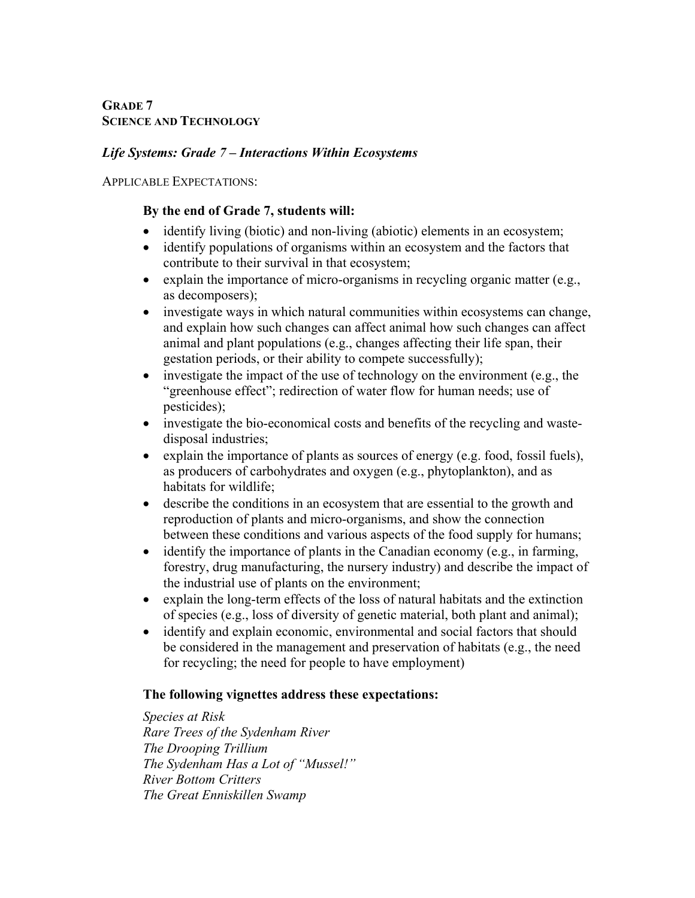# **GRADE 7 SCIENCE AND TECHNOLOGY**

# *Life Systems: Grade 7 – Interactions Within Ecosystems*

APPLICABLE EXPECTATIONS:

# **By the end of Grade 7, students will:**

- identify living (biotic) and non-living (abiotic) elements in an ecosystem;
- identify populations of organisms within an ecosystem and the factors that contribute to their survival in that ecosystem;
- explain the importance of micro-organisms in recycling organic matter (e.g., as decomposers);
- investigate ways in which natural communities within ecosystems can change, and explain how such changes can affect animal how such changes can affect animal and plant populations (e.g., changes affecting their life span, their gestation periods, or their ability to compete successfully);
- investigate the impact of the use of technology on the environment (e.g., the "greenhouse effect"; redirection of water flow for human needs; use of pesticides);
- investigate the bio-economical costs and benefits of the recycling and wastedisposal industries;
- explain the importance of plants as sources of energy (e.g. food, fossil fuels), as producers of carbohydrates and oxygen (e.g., phytoplankton), and as habitats for wildlife;
- describe the conditions in an ecosystem that are essential to the growth and reproduction of plants and micro-organisms, and show the connection between these conditions and various aspects of the food supply for humans;
- identify the importance of plants in the Canadian economy (e.g., in farming, forestry, drug manufacturing, the nursery industry) and describe the impact of the industrial use of plants on the environment;
- explain the long-term effects of the loss of natural habitats and the extinction of species (e.g., loss of diversity of genetic material, both plant and animal);
- identify and explain economic, environmental and social factors that should be considered in the management and preservation of habitats (e.g., the need for recycling; the need for people to have employment)

# **The following vignettes address these expectations:**

*Species at Risk Rare Trees of the Sydenham River The Drooping Trillium The Sydenham Has a Lot of "Mussel!" River Bottom Critters The Great Enniskillen Swamp*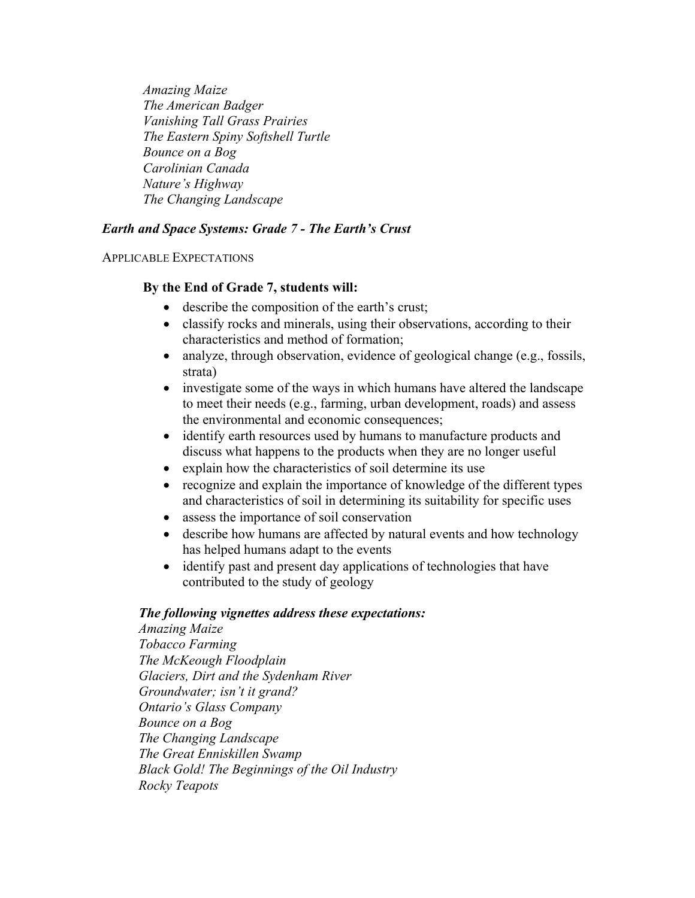*Amazing Maize The American Badger Vanishing Tall Grass Prairies The Eastern Spiny Softshell Turtle Bounce on a Bog Carolinian Canada Nature's Highway The Changing Landscape* 

# *Earth and Space Systems: Grade 7 - The Earth's Crust*

### APPLICABLE EXPECTATIONS

## **By the End of Grade 7, students will:**

- describe the composition of the earth's crust;
- classify rocks and minerals, using their observations, according to their characteristics and method of formation;
- analyze, through observation, evidence of geological change (e.g., fossils, strata)
- investigate some of the ways in which humans have altered the landscape to meet their needs (e.g., farming, urban development, roads) and assess the environmental and economic consequences;
- identify earth resources used by humans to manufacture products and discuss what happens to the products when they are no longer useful
- explain how the characteristics of soil determine its use
- recognize and explain the importance of knowledge of the different types and characteristics of soil in determining its suitability for specific uses
- assess the importance of soil conservation
- describe how humans are affected by natural events and how technology has helped humans adapt to the events
- identify past and present day applications of technologies that have contributed to the study of geology

## *The following vignettes address these expectations:*

*Amazing Maize Tobacco Farming The McKeough Floodplain Glaciers, Dirt and the Sydenham River Groundwater; isn't it grand? Ontario's Glass Company Bounce on a Bog The Changing Landscape The Great Enniskillen Swamp Black Gold! The Beginnings of the Oil Industry Rocky Teapots*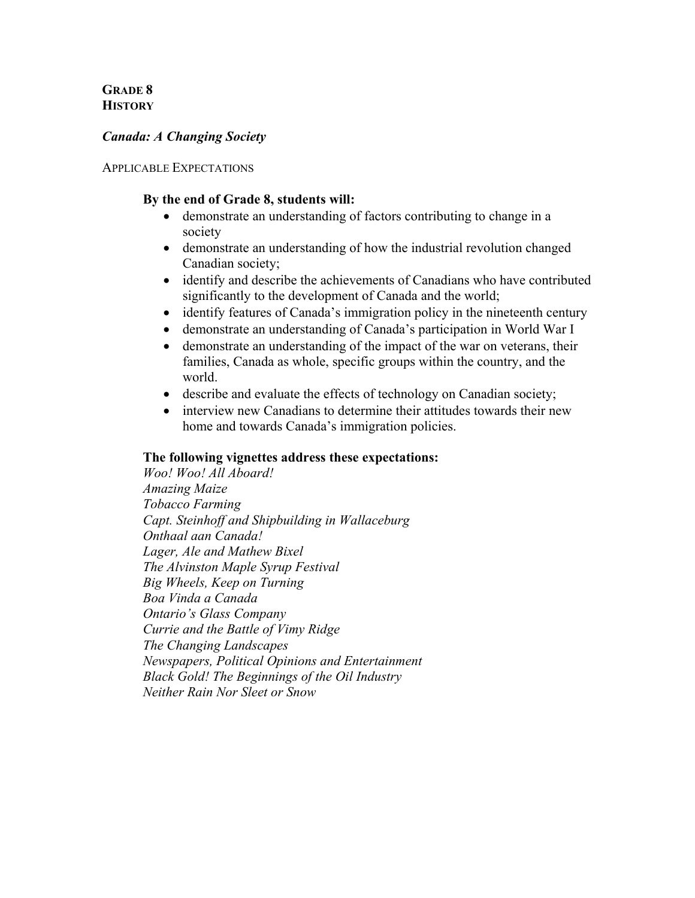# **GRADE 8 HISTORY**

## *Canada: A Changing Society*

### APPLICABLE EXPECTATIONS

## **By the end of Grade 8, students will:**

- demonstrate an understanding of factors contributing to change in a society
- demonstrate an understanding of how the industrial revolution changed Canadian society;
- identify and describe the achievements of Canadians who have contributed significantly to the development of Canada and the world;
- identify features of Canada's immigration policy in the nineteenth century
- demonstrate an understanding of Canada's participation in World War I
- demonstrate an understanding of the impact of the war on veterans, their families, Canada as whole, specific groups within the country, and the world.
- describe and evaluate the effects of technology on Canadian society;
- interview new Canadians to determine their attitudes towards their new home and towards Canada's immigration policies.

## **The following vignettes address these expectations:**

*Woo! Woo! All Aboard! Amazing Maize Tobacco Farming Capt. Steinhoff and Shipbuilding in Wallaceburg Onthaal aan Canada! Lager, Ale and Mathew Bixel The Alvinston Maple Syrup Festival Big Wheels, Keep on Turning Boa Vinda a Canada Ontario's Glass Company Currie and the Battle of Vimy Ridge The Changing Landscapes Newspapers, Political Opinions and Entertainment Black Gold! The Beginnings of the Oil Industry Neither Rain Nor Sleet or Snow*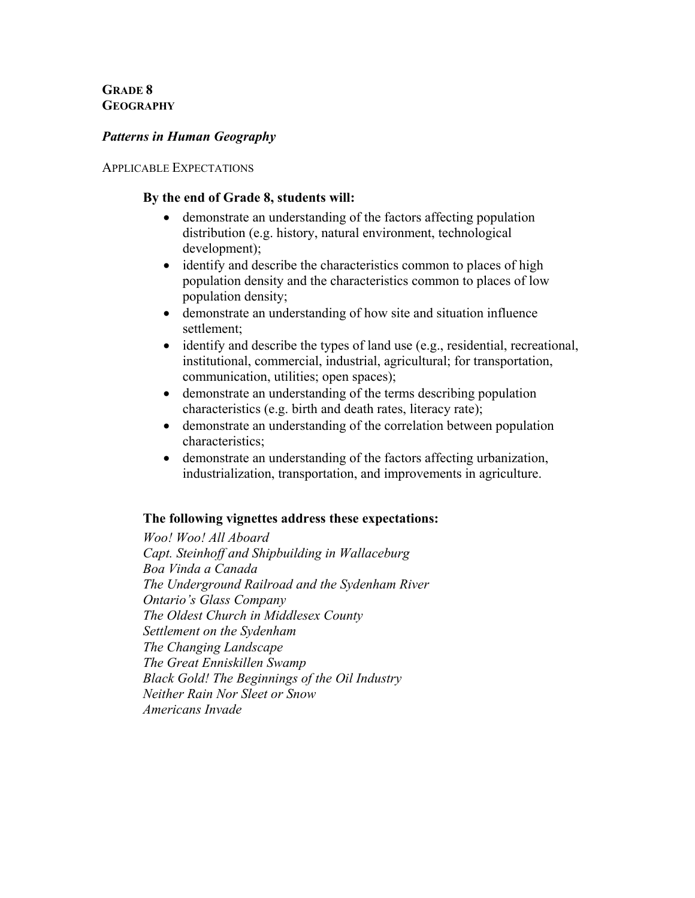**GRADE 8 GEOGRAPHY**

## *Patterns in Human Geography*

#### APPLICABLE EXPECTATIONS

## **By the end of Grade 8, students will:**

- demonstrate an understanding of the factors affecting population distribution (e.g. history, natural environment, technological development);
- identify and describe the characteristics common to places of high population density and the characteristics common to places of low population density;
- demonstrate an understanding of how site and situation influence settlement;
- identify and describe the types of land use (e.g., residential, recreational, institutional, commercial, industrial, agricultural; for transportation, communication, utilities; open spaces);
- demonstrate an understanding of the terms describing population characteristics (e.g. birth and death rates, literacy rate);
- demonstrate an understanding of the correlation between population characteristics;
- demonstrate an understanding of the factors affecting urbanization, industrialization, transportation, and improvements in agriculture.

## **The following vignettes address these expectations:**

*Woo! Woo! All Aboard Capt. Steinhoff and Shipbuilding in Wallaceburg Boa Vinda a Canada The Underground Railroad and the Sydenham River Ontario's Glass Company The Oldest Church in Middlesex County Settlement on the Sydenham The Changing Landscape The Great Enniskillen Swamp Black Gold! The Beginnings of the Oil Industry Neither Rain Nor Sleet or Snow Americans Invade*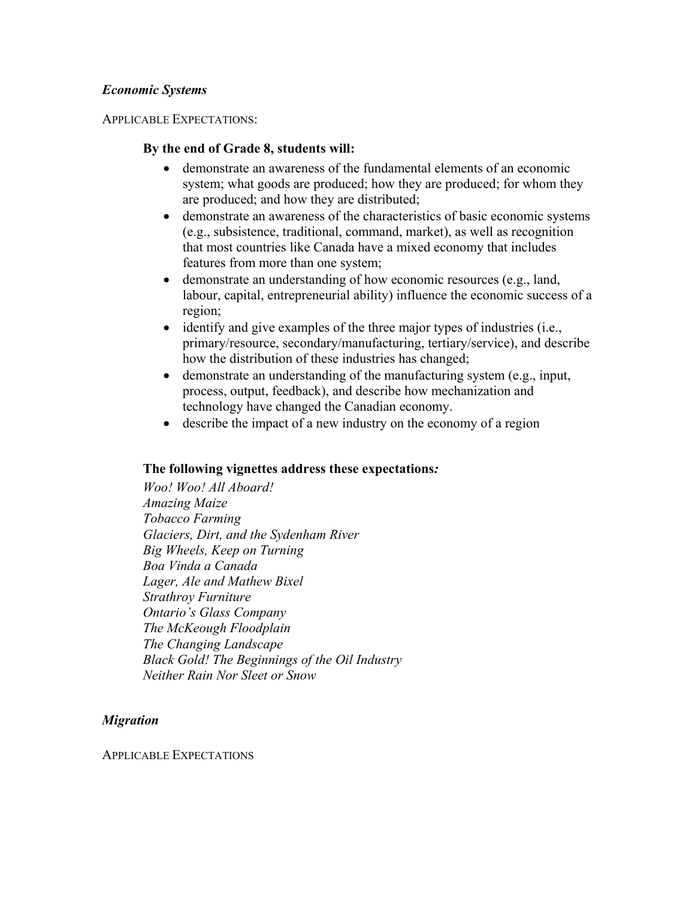## *Economic Systems*

APPLICABLE EXPECTATIONS:

## **By the end of Grade 8, students will:**

- demonstrate an awareness of the fundamental elements of an economic system; what goods are produced; how they are produced; for whom they are produced; and how they are distributed;
- demonstrate an awareness of the characteristics of basic economic systems (e.g., subsistence, traditional, command, market), as well as recognition that most countries like Canada have a mixed economy that includes features from more than one system;
- demonstrate an understanding of how economic resources (e.g., land, labour, capital, entrepreneurial ability) influence the economic success of a region;
- identify and give examples of the three major types of industries (i.e., primary/resource, secondary/manufacturing, tertiary/service), and describe how the distribution of these industries has changed;
- demonstrate an understanding of the manufacturing system (e.g., input, process, output, feedback), and describe how mechanization and technology have changed the Canadian economy.
- describe the impact of a new industry on the economy of a region

## **The following vignettes address these expectations***:*

*Woo! Woo! All Aboard! Amazing Maize Tobacco Farming Glaciers, Dirt, and the Sydenham River Big Wheels, Keep on Turning Boa Vinda a Canada Lager, Ale and Mathew Bixel Strathroy Furniture Ontario's Glass Company The McKeough Floodplain The Changing Landscape Black Gold! The Beginnings of the Oil Industry Neither Rain Nor Sleet or Snow*

## *Migration*

APPLICABLE EXPECTATIONS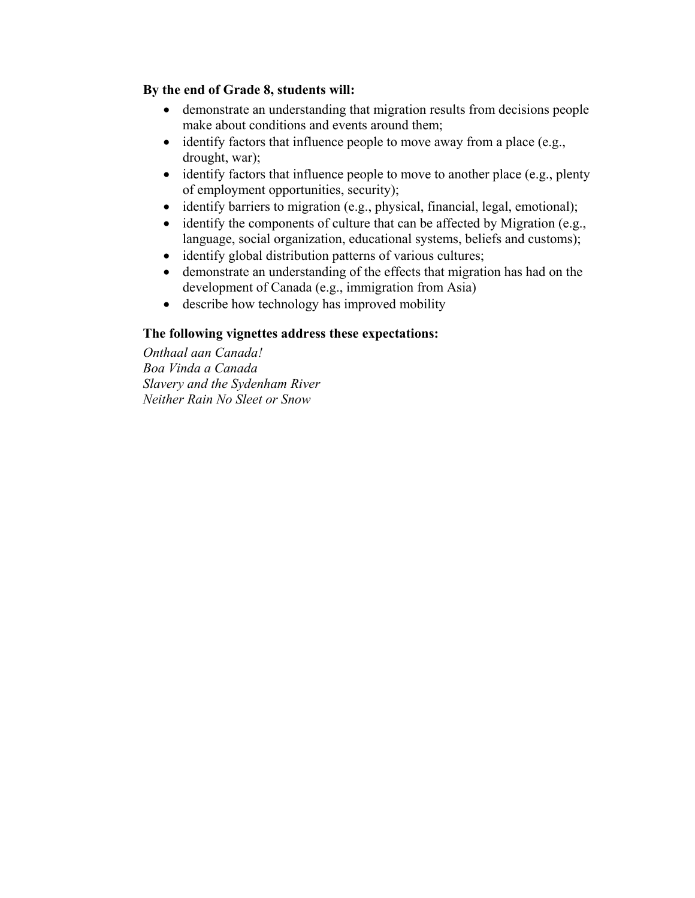# **By the end of Grade 8, students will:**

- demonstrate an understanding that migration results from decisions people make about conditions and events around them;
- identify factors that influence people to move away from a place (e.g., drought, war);
- identify factors that influence people to move to another place (e.g., plenty of employment opportunities, security);
- identify barriers to migration (e.g., physical, financial, legal, emotional);
- identify the components of culture that can be affected by Migration (e.g., language, social organization, educational systems, beliefs and customs);
- identify global distribution patterns of various cultures;
- demonstrate an understanding of the effects that migration has had on the development of Canada (e.g., immigration from Asia)
- describe how technology has improved mobility

# **The following vignettes address these expectations:**

*Onthaal aan Canada! Boa Vinda a Canada Slavery and the Sydenham River Neither Rain No Sleet or Snow*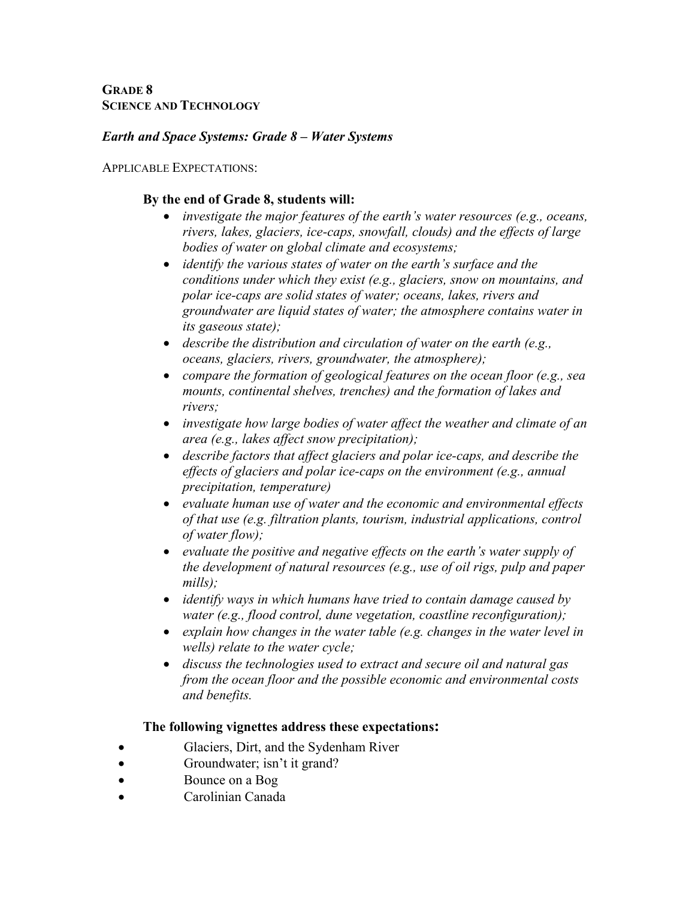**GRADE 8 SCIENCE AND TECHNOLOGY**

## *Earth and Space Systems: Grade 8 – Water Systems*

APPLICABLE EXPECTATIONS:

## **By the end of Grade 8, students will:**

- *investigate the major features of the earth's water resources (e.g., oceans, rivers, lakes, glaciers, ice-caps, snowfall, clouds) and the effects of large bodies of water on global climate and ecosystems;*
- *identify the various states of water on the earth's surface and the conditions under which they exist (e.g., glaciers, snow on mountains, and polar ice-caps are solid states of water; oceans, lakes, rivers and groundwater are liquid states of water; the atmosphere contains water in its gaseous state);*
- *describe the distribution and circulation of water on the earth (e.g., oceans, glaciers, rivers, groundwater, the atmosphere);*
- *compare the formation of geological features on the ocean floor (e.g., sea mounts, continental shelves, trenches) and the formation of lakes and rivers;*
- *investigate how large bodies of water affect the weather and climate of an area (e.g., lakes affect snow precipitation);*
- *describe factors that affect glaciers and polar ice-caps, and describe the effects of glaciers and polar ice-caps on the environment (e.g., annual precipitation, temperature)*
- *evaluate human use of water and the economic and environmental effects of that use (e.g. filtration plants, tourism, industrial applications, control of water flow);*
- *evaluate the positive and negative effects on the earth's water supply of the development of natural resources (e.g., use of oil rigs, pulp and paper mills);*
- *identify ways in which humans have tried to contain damage caused by water (e.g., flood control, dune vegetation, coastline reconfiguration);*
- *explain how changes in the water table (e.g. changes in the water level in wells) relate to the water cycle;*
- *discuss the technologies used to extract and secure oil and natural gas from the ocean floor and the possible economic and environmental costs and benefits.*

# **The following vignettes address these expectations:**

- Glaciers, Dirt, and the Sydenham River
- Groundwater; isn't it grand?
- Bounce on a Bog
- Carolinian Canada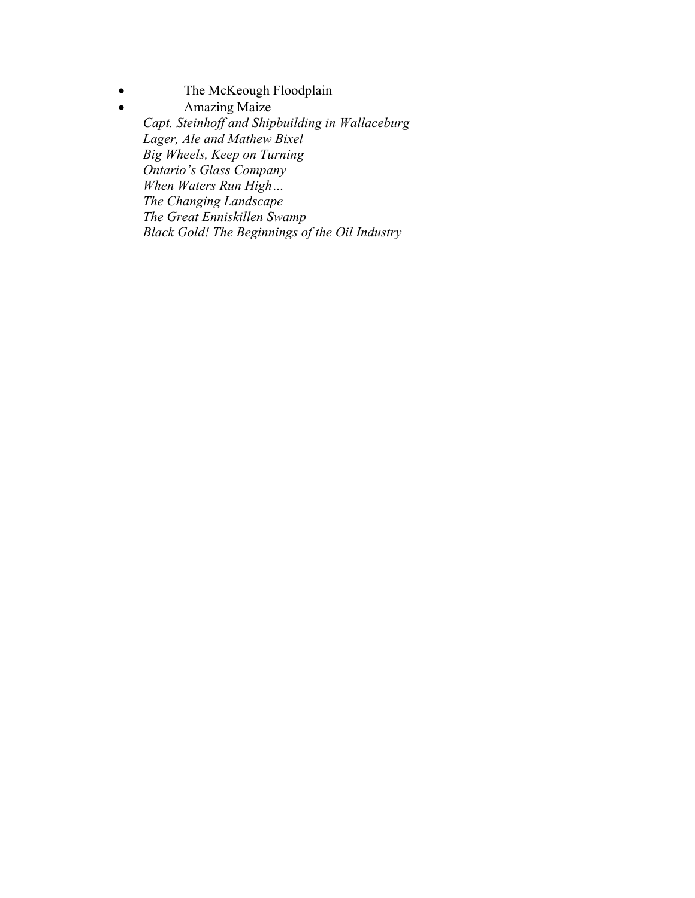• The McKeough Floodplain

• Amazing Maize  *Capt. Steinhoff and Shipbuilding in Wallaceburg Lager, Ale and Mathew Bixel Big Wheels, Keep on Turning Ontario's Glass Company When Waters Run High… The Changing Landscape The Great Enniskillen Swamp Black Gold! The Beginnings of the Oil Industry*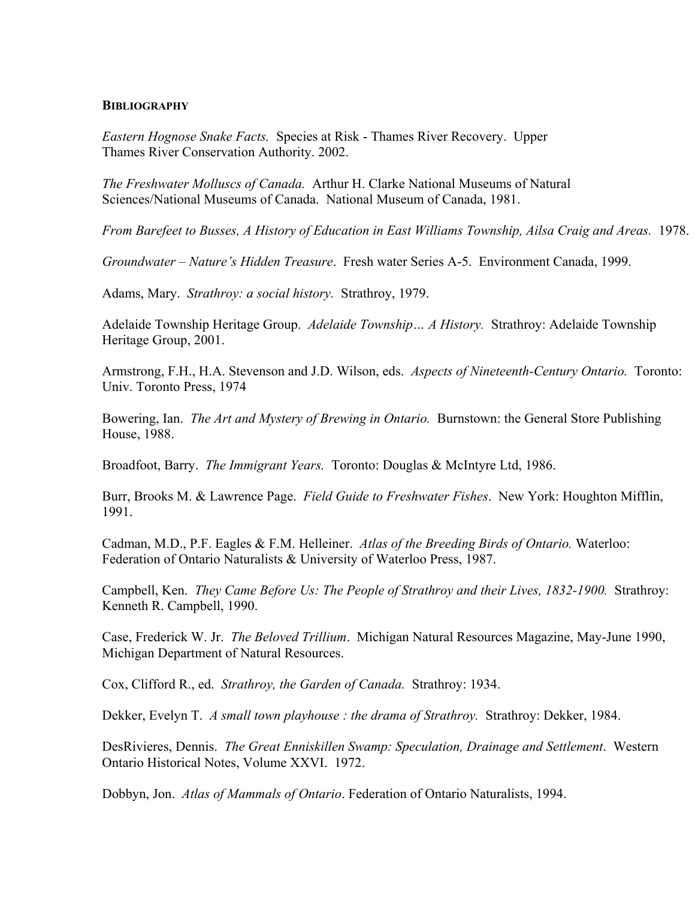#### **BIBLIOGRAPHY**

*Eastern Hognose Snake Facts.* Species at Risk - Thames River Recovery. Upper Thames River Conservation Authority. 2002.

*The Freshwater Molluscs of Canada.* Arthur H. Clarke National Museums of Natural Sciences/National Museums of Canada. National Museum of Canada, 1981.

*From Barefeet to Busses, A History of Education in East Williams Township, Ailsa Craig and Areas.* 1978.

*Groundwater – Nature's Hidden Treasure*. Fresh water Series A-5. Environment Canada, 1999.

Adams, Mary. *Strathroy: a social history.* Strathroy, 1979.

Adelaide Township Heritage Group. *Adelaide Township… A History.* Strathroy: Adelaide Township Heritage Group, 2001.

Armstrong, F.H., H.A. Stevenson and J.D. Wilson, eds. *Aspects of Nineteenth-Century Ontario.* Toronto: Univ. Toronto Press, 1974

Bowering, Ian. *The Art and Mystery of Brewing in Ontario.* Burnstown: the General Store Publishing House, 1988.

Broadfoot, Barry. *The Immigrant Years.* Toronto: Douglas & McIntyre Ltd, 1986.

Burr, Brooks M. & Lawrence Page. *Field Guide to Freshwater Fishes*. New York: Houghton Mifflin, 1991.

Cadman, M.D., P.F. Eagles & F.M. Helleiner. *Atlas of the Breeding Birds of Ontario.* Waterloo: Federation of Ontario Naturalists & University of Waterloo Press, 1987.

Campbell, Ken. *They Came Before Us: The People of Strathroy and their Lives, 1832-1900.* Strathroy: Kenneth R. Campbell, 1990.

Case, Frederick W. Jr. *The Beloved Trillium*. Michigan Natural Resources Magazine, May-June 1990, Michigan Department of Natural Resources.

Cox, Clifford R., ed. *Strathroy, the Garden of Canada.* Strathroy: 1934.

Dekker, Evelyn T. *A small town playhouse : the drama of Strathroy.* Strathroy: Dekker, 1984.

DesRivieres, Dennis. *The Great Enniskillen Swamp: Speculation, Drainage and Settlement*. Western Ontario Historical Notes, Volume XXVI. 1972.

Dobbyn, Jon. *Atlas of Mammals of Ontario*. Federation of Ontario Naturalists, 1994.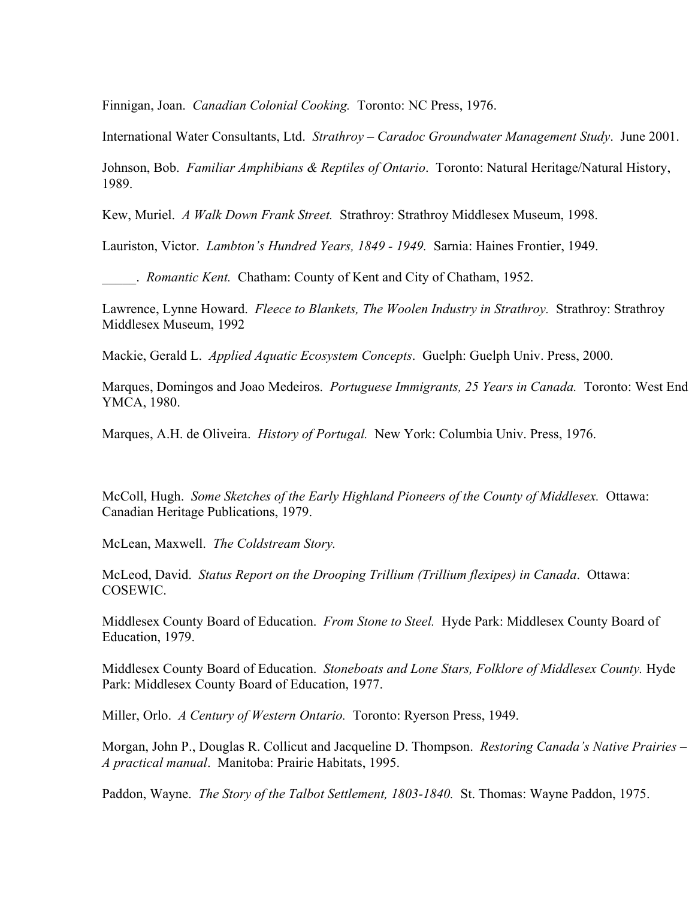Finnigan, Joan. *Canadian Colonial Cooking.* Toronto: NC Press, 1976.

International Water Consultants, Ltd. *Strathroy – Caradoc Groundwater Management Study*. June 2001.

Johnson, Bob. *Familiar Amphibians & Reptiles of Ontario*. Toronto: Natural Heritage/Natural History, 1989.

Kew, Muriel. *A Walk Down Frank Street.* Strathroy: Strathroy Middlesex Museum, 1998.

Lauriston, Victor. *Lambton's Hundred Years, 1849 - 1949.* Sarnia: Haines Frontier, 1949.

\_\_\_\_\_. *Romantic Kent.* Chatham: County of Kent and City of Chatham, 1952.

Lawrence, Lynne Howard. *Fleece to Blankets, The Woolen Industry in Strathroy.* Strathroy: Strathroy Middlesex Museum, 1992

Mackie, Gerald L. *Applied Aquatic Ecosystem Concepts*. Guelph: Guelph Univ. Press, 2000.

Marques, Domingos and Joao Medeiros. *Portuguese Immigrants, 25 Years in Canada.* Toronto: West End YMCA, 1980.

Marques, A.H. de Oliveira. *History of Portugal.* New York: Columbia Univ. Press, 1976.

McColl, Hugh. *Some Sketches of the Early Highland Pioneers of the County of Middlesex.* Ottawa: Canadian Heritage Publications, 1979.

McLean, Maxwell. *The Coldstream Story.* 

McLeod, David. *Status Report on the Drooping Trillium (Trillium flexipes) in Canada*. Ottawa: COSEWIC.

Middlesex County Board of Education. *From Stone to Steel.* Hyde Park: Middlesex County Board of Education, 1979.

Middlesex County Board of Education. *Stoneboats and Lone Stars, Folklore of Middlesex County.* Hyde Park: Middlesex County Board of Education, 1977.

Miller, Orlo. *A Century of Western Ontario.* Toronto: Ryerson Press, 1949.

Morgan, John P., Douglas R. Collicut and Jacqueline D. Thompson. *Restoring Canada's Native Prairies – A practical manual*. Manitoba: Prairie Habitats, 1995.

Paddon, Wayne. *The Story of the Talbot Settlement, 1803-1840.* St. Thomas: Wayne Paddon, 1975.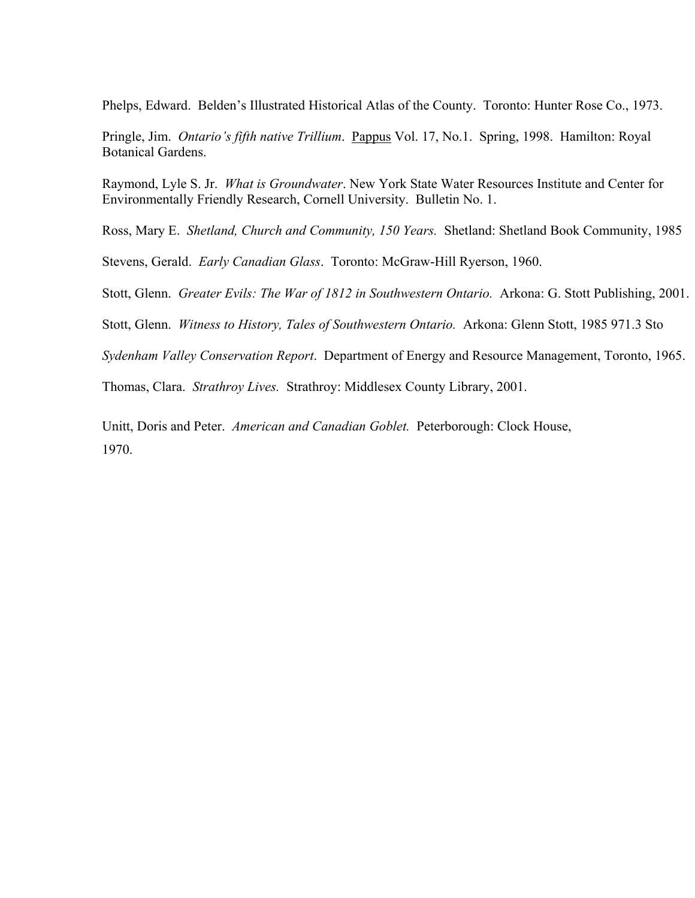Phelps, Edward. Belden's Illustrated Historical Atlas of the County. Toronto: Hunter Rose Co., 1973.

Pringle, Jim. *Ontario's fifth native Trillium*. Pappus Vol. 17, No.1. Spring, 1998. Hamilton: Royal Botanical Gardens.

Raymond, Lyle S. Jr. *What is Groundwater*. New York State Water Resources Institute and Center for Environmentally Friendly Research, Cornell University. Bulletin No. 1.

Ross, Mary E. *Shetland, Church and Community, 150 Years.* Shetland: Shetland Book Community, 1985

Stevens, Gerald. *Early Canadian Glass*. Toronto: McGraw-Hill Ryerson, 1960.

Stott, Glenn. *Greater Evils: The War of 1812 in Southwestern Ontario.* Arkona: G. Stott Publishing, 2001.

Stott, Glenn. *Witness to History, Tales of Southwestern Ontario.* Arkona: Glenn Stott, 1985 971.3 Sto

*Sydenham Valley Conservation Report*. Department of Energy and Resource Management, Toronto, 1965.

Thomas, Clara. *Strathroy Lives.* Strathroy: Middlesex County Library, 2001.

Unitt, Doris and Peter. *American and Canadian Goblet.* Peterborough: Clock House, 1970.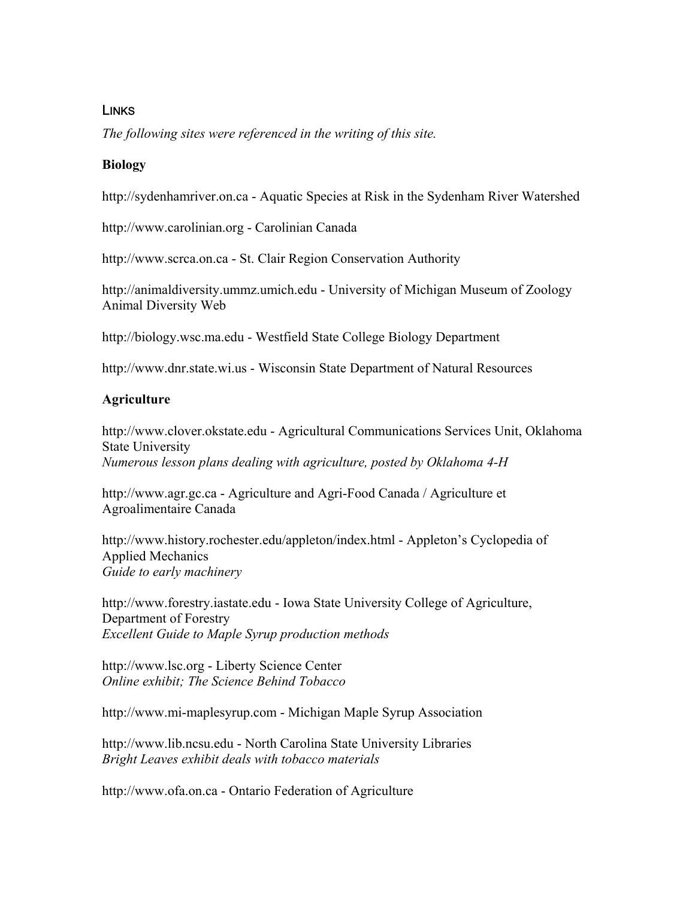# **LINKS**

*The following sites were referenced in the writing of this site.* 

## **Biology**

http://sydenhamriver.on.ca - Aquatic Species at Risk in the Sydenham River Watershed

http://www.carolinian.org - Carolinian Canada

http://www.scrca.on.ca - St. Clair Region Conservation Authority

http://animaldiversity.ummz.umich.edu - University of Michigan Museum of Zoology Animal Diversity Web

http://biology.wsc.ma.edu - Westfield State College Biology Department

http://www.dnr.state.wi.us - Wisconsin State Department of Natural Resources

## **Agriculture**

http://www.clover.okstate.edu - Agricultural Communications Services Unit, Oklahoma State University *Numerous lesson plans dealing with agriculture, posted by Oklahoma 4-H*

http://www.agr.gc.ca - Agriculture and Agri-Food Canada / Agriculture et Agroalimentaire Canada

http://www.history.rochester.edu/appleton/index.html - Appleton's Cyclopedia of Applied Mechanics *Guide to early machinery* 

http://www.forestry.iastate.edu - Iowa State University College of Agriculture, Department of Forestry *Excellent Guide to Maple Syrup production methods* 

http://www.lsc.org - Liberty Science Center *Online exhibit; The Science Behind Tobacco* 

http://www.mi-maplesyrup.com - Michigan Maple Syrup Association

http://www.lib.ncsu.edu - North Carolina State University Libraries *Bright Leaves exhibit deals with tobacco materials*

http://www.ofa.on.ca - Ontario Federation of Agriculture